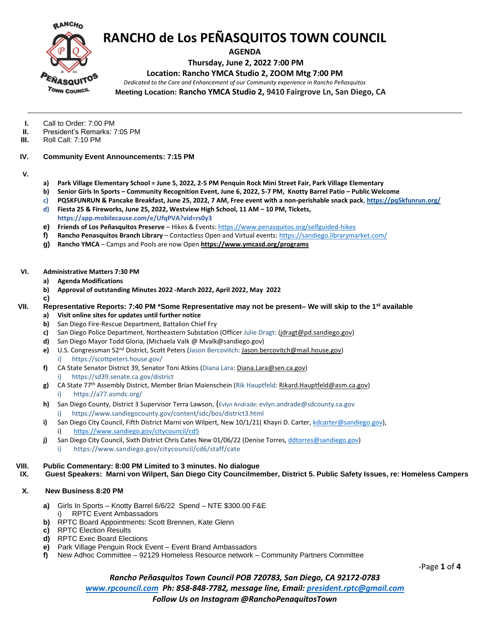

**AGENDA**

**Thursday, June 2, 2022 7:00 PM**

### **Location: Rancho YMCA Studio 2, ZOOM Mtg 7:00 PM**

*Dedicated to the Care and Enhancement of our Community experience in Rancho Peñasquitos*

**Meeting Location: Rancho YMCA Studio 2, 9410 Fairgrove Ln, San Diego, CA**

- **I.** Call to Order: 7:00 PM<br>**II.** President's Remarks: 7
- **II.** President's Remarks: 7:05 PM<br>**III.** Roll Call: 7:10 PM
- **III.** Roll Call: 7:10 PM
- **IV. Community Event Announcements: 7:15 PM**
- **V.**
- **a) Park Village Elementary School = June 5, 2022, 2-5 PM Penquin Rock Mini Street Fair, Park Village Elementary**
- **b) Senior Girls In Sports – Community Recognition Event, June 6, 2022, 5-7 PM, Knotty Barrel Patio – Public Welcome**
- **c) PQ5KFUNRUN & Pancake Breakfast, June 25, 2022, 7 AM, Free event with a non-perishable snack pack[, https://pq5kfunrun.org/](https://pq5kfunrun.org/)**
- **d) Fiesta 25 & Fireworks, June 25, 2022, Westview High School, 11 AM – 10 PM, Tickets, https://app.mobilecause.com/e/UfqPVA?vid=rs0y3**
- **e) Friends of Los Peñasquitos Preserve** Hikes & Events: <https://www.penasquitos.org/selfguided-hikes>
- **f) Rancho Penasquitos Branch Library** Contactless Open and Virtual events:<https://sandiego.librarymarket.com/>
- **g) Rancho YMCA** Camps and Pools are now Open **<https://www.ymcasd.org/programs>**

#### **VI. Administrative Matters 7:30 PM**

- **a) Agenda Modifications**
- **b) Approval of outstanding Minutes 2022 -March 2022, April 2022, May 2022**
- **c)**

## **VII. Representative Reports: 7:40 PM \*Some Representative may not be present– We will skip to the 1st available**

- **a) Visit online sites for updates until further notice**
- **b)** San Diego Fire-Rescue Department, Battalion Chief Fry
- **c)** San Diego Police Department, Northeastern Substation (Officer Julie Dragt: [\(jdragt@pd.sandiego.gov\)](mailto:jdragt@pd.sandiego.gov)
- **d)** San Diego Mayor Todd Gloria, (Michaela Valk @ Mvalk@sandiego.gov)
- **e)** U.S. Congressman 52nd District, Scott Peters (Jason Bercovitch[: Jason.bercovitch@mail.house.gov\)](mailto:Jason.bercovitch@mail.house.gov) i) https://scottpeters.house.gov/
- **f)** CA State Senator District 39, Senator Toni Atkins (Diana Lara[: Diana.Lara@sen.ca.gov\)](mailto:Diana.Lara@sen.ca.gov) i) https://sd39.senate.ca.gov/district
- **g)** CA State 77th Assembly District, Member Brian Maienschein (Rik Hauptfeld: [Rikard.Hauptfeld@asm.ca.gov\)](mailto:Rikard.Hauptfeld@asm.ca.gov) i) https://a77.asmdc.org/
- **h)** San Diego County, District 3 Supervisor Terra Lawson, (Evlyn Andrade: evlyn.andrade@sdcounty.ca.gov i) https://www.sandiegocounty.gov/content/sdc/bos/district3.html
- i) San Diego City Council, Fifth District Marni von Wilpert, New 10/1/21( Khayri D. Carter, [kdcarter@sandiego.gov\)](mailto:kdcarter@sandiego.gov), i) <https://www.sandiego.gov/citycouncil/cd5>
- **j)** San Diego City Council, Sixth District Chris Cates New 01/06/22 (Denise Torres[, ddtorres@sandiego.gov\)](mailto:ddtorres@sandiego.gov)
	- i) https://www.sandiego.gov/citycouncil/cd6/staff/cate

#### **VIII. Public Commentary: 8:00 PM Limited to 3 minutes. No dialogue**

**IX. Guest Speakers: Marni von Wilpert, San Diego City Councilmember, District 5. Public Safety Issues, re: Homeless Campers**

#### **X. New Business 8:20 PM**

- **a)** Girls In Sports Knotty Barrel 6/6/22 Spend NTE \$300.00 F&E RPTC Event Ambassadors
- **b)** RPTC Board Appointments: Scott Brennen, Kate Glenn
- **c)** RPTC Election Results
- **d)** RPTC Exec Board Elections
- **e)** Park Village Penguin Rock Event Event Brand Ambassadors
- **f)** New Adhoc Committee 92129 Homeless Resource network Community Partners Committee

-Page **1** of **4**

*Rancho Peñasquitos Town Council POB 720783, San Diego, CA 92172-0783 [www.rpcouncil.com](http://www.rpcouncil.com/) Ph: 858-848-7782, message line, Email[: president.rptc@gmail.com](mailto:president.rptc@gmail.com) Follow Us on Instagram @RanchoPenaquitosTown*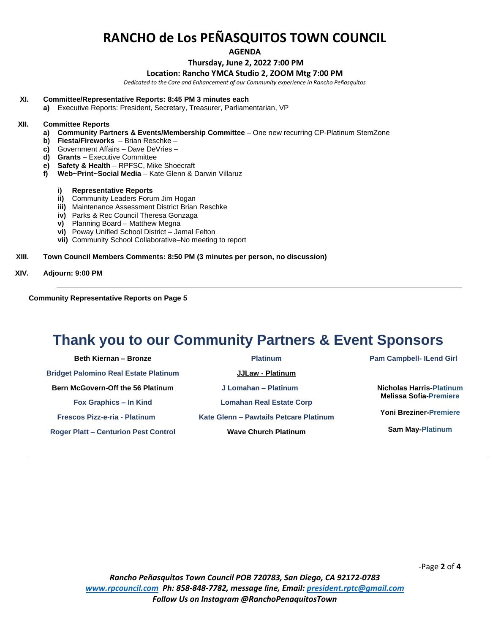**AGENDA**

#### **Thursday, June 2, 2022 7:00 PM**

#### **Location: Rancho YMCA Studio 2, ZOOM Mtg 7:00 PM**

*Dedicated to the Care and Enhancement of our Community experience in Rancho Peñasquitos*

#### **XI. Committee/Representative Reports: 8:45 PM 3 minutes each**

**a)** Executive Reports: President, Secretary, Treasurer, Parliamentarian, VP

#### **XII. Committee Reports**

- **a) Community Partners & Events/Membership Committee** One new recurring CP-Platinum StemZone
- **b) Fiesta/Fireworks** Brian Reschke –
- **c)** Government Affairs Dave DeVries –
- **d) Grants** Executive Committee
- **e) Safety & Health** RPFSC, Mike Shoecraft
- **f) Web~Print~Social Media** Kate Glenn & Darwin Villaruz

#### **i) Representative Reports**

- **ii)** Community Leaders Forum Jim Hogan
- **iii)** Maintenance Assessment District Brian Reschke
- **iv)** Parks & Rec Council Theresa Gonzaga
- **v)** Planning Board Matthew Megna
- **vi)** Poway Unified School District Jamal Felton
- **vii)** Community School Collaborative–No meeting to report

#### **XIII. Town Council Members Comments: 8:50 PM (3 minutes per person, no discussion)**

#### **XIV. Adjourn: 9:00 PM**

**Community Representative Reports on Page 5**

## **Thank you to our Community Partners & Event Sponsors**

**Beth Kiernan – Bronze Bridget Palomino Real Estate Platinum Bern McGovern-Off the 56 Platinum Fox Graphics – In Kind Frescos Pizz-e-ria - Platinum Roger Platt – Centurion Pest Control**

**Platinum JJLaw - Platinum J Lomahan – Platinum Lomahan Real Estate Corp Kate Glenn – Pawtails Petcare Platinum Wave Church Platinum**

**Pam Campbell- ILend Girl**

**Nicholas Harris-Platinum Melissa Sofia-Premiere**

**Yoni Breziner-Premiere**

**Sam May-Platinum**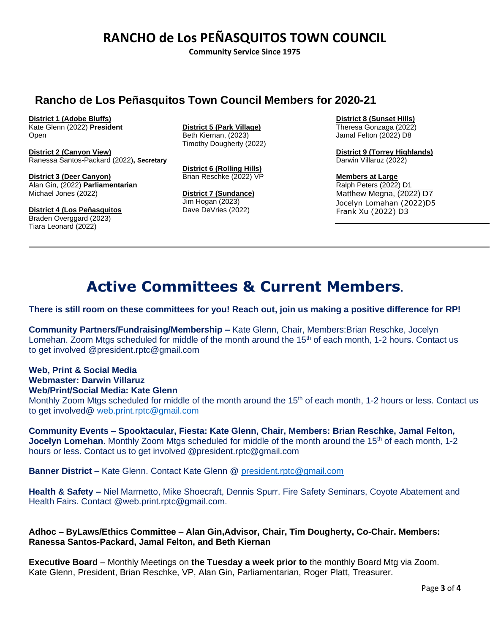**Community Service Since 1975**

## **Rancho de Los Peñasquitos Town Council Members for 2020-21**

**District 1 (Adobe Bluffs)**

Kate Glenn (2022) **President** Open

**District 2 (Canyon View)** Ranessa Santos-Packard (2022)**, Secretary**

**District 3 (Deer Canyon)** Alan Gin, (2022) **Parliamentarian** Michael Jones (2022)

**District 4 (Los Peñasquitos** Braden Overggard (2023) Tiara Leonard (2022)

**District 5 (Park Village)** Beth Kiernan, (2023) Timothy Dougherty (2022)

**District 6 (Rolling Hills)** Brian Reschke (2022) VP

**District 7 (Sundance)** Jim Hogan (2023) Dave DeVries (2022)

**District 8 (Sunset Hills)** Theresa Gonzaga (2022) Jamal Felton (2022) D8

**District 9 (Torrey Highlands)** Darwin Villaruz (2022)

**Members at Large** Ralph Peters (2022) D1 Matthew Megna, (2022) D7 Jocelyn Lomahan (2022)D5 Frank Xu (2022) D3

# **Active Committees & Current Members.**

## **There is still room on these committees for you! Reach out, join us making a positive difference for RP!**

**Community Partners/Fundraising/Membership –** Kate Glenn, Chair, Members:Brian Reschke, Jocelyn Lomehan. Zoom Mtgs scheduled for middle of the month around the 15<sup>th</sup> of each month, 1-2 hours. Contact us to get involved @president.rptc@gmail.com

### **Web, Print & Social Media Webmaster: Darwin Villaruz Web/Print/Social Media: Kate Glenn**

Monthly Zoom Mtgs scheduled for middle of the month around the 15<sup>th</sup> of each month, 1-2 hours or less. Contact us to get involved@ [web.print.rptc@gmail.com](mailto:web.print.rptc@gmail.com)

**Community Events – Spooktacular, Fiesta: Kate Glenn, Chair, Members: Brian Reschke, Jamal Felton, Jocelyn Lomehan**. Monthly Zoom Mtgs scheduled for middle of the month around the 15<sup>th</sup> of each month, 1-2 hours or less. Contact us to get involved @president.rptc@gmail.com

**Banner District –** Kate Glenn. Contact Kate Glenn @ [president.rptc@gmail.com](mailto:president.rptc@gmail.com)

**Health & Safety –** Niel Marmetto, Mike Shoecraft, Dennis Spurr. Fire Safety Seminars, Coyote Abatement and Health Fairs. Contact @web.print.rptc@gmail.com.

**Adhoc – ByLaws/Ethics Committee** – **Alan Gin,Advisor, Chair, Tim Dougherty, Co-Chair. Members: Ranessa Santos-Packard, Jamal Felton, and Beth Kiernan**

**Executive Board** – Monthly Meetings on **the Tuesday a week prior to** the monthly Board Mtg via Zoom. Kate Glenn, President, Brian Reschke, VP, Alan Gin, Parliamentarian, Roger Platt, Treasurer.